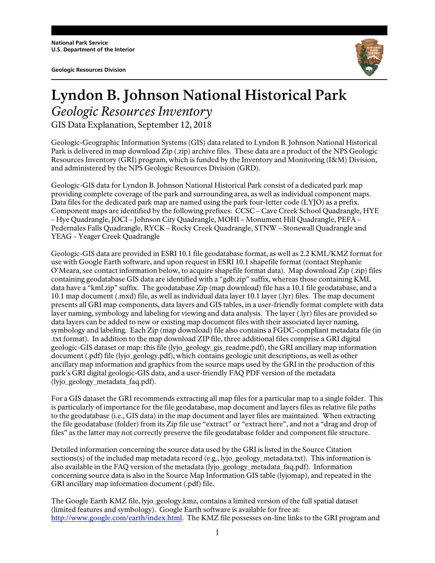**Geologic Resources Division** 



## **Lyndon B. Johnson National Historical Park** *Geologic Resources Inventory*  GIS Data Explanation, September 12, 2018

Geologic-Geographic Information Systems (GIS) data related to Lyndon B. Johnson National Historical Park is delivered in map download Zip (.zip) archive files. These data are a product of the NPS Geologic Resources Inventory (GRI) program, which is funded by the Inventory and Monitoring (I&M) Division, and administered by the NPS Geologic Resources Division (GRD).

Geologic-GIS data for Lyndon B. Johnson National Historical Park consist of a dedicated park map providing complete coverage of the park and surrounding area, as well as individual component maps. Data files for the dedicated park map are named using the park four-letter code (LYJO) as a prefix. Component maps are identified by the following prefixes: CCSC – Cave Creek School Quadrangle, HYE – Hye Quadrangle, JOCI – Johnson City Quadrangle, MOHI – Monument Hill Quadrangle, PEFA – Pedernales Falls Quadrangle, RYCK – Rocky Creek Quadrangle, STNW – Stonewall Quadrangle and YEAG – Yeager Creek Quadrangle

Geologic-GIS data are provided in ESRI 10.1 file geodatabase format, as well as 2.2 KML/KMZ format for use with Google Earth software, and upon request in ESRI 10.1 shapefile format (contact Stephanie O'Meara, see contact information below, to acquire shapefile format data). Map download Zip (.zip) files containing geodatabase GIS data are identified with a "gdb.zip" suffix, whereas those containing KML data have a "kml.zip" suffix. The geodatabase Zip (map download) file has a 10.1 file geodatabase, and a 10.1 map document (.mxd) file, as well as individual data layer 10.1 layer (.lyr) files. The map document presents all GRI map components, data layers and GIS tables, in a user-friendly format complete with data layer naming, symbology and labeling for viewing and data analysis. The layer (.lyr) files are provided so data layers can be added to new or existing map document files with their associated layer naming, symbology and labeling. Each Zip (map download) file also contains a FGDC-compliant metadata file (in .txt format). In addition to the map download ZIP file, three additional files comprise a GRI digital geologic-GIS dataset or map: this file (lyjo\_geology\_gis\_readme.pdf), the GRI ancillary map information document (.pdf) file (lyjo\_geology.pdf), which contains geologic unit descriptions, as well as other ancillary map information and graphics from the source maps used by the GRI in the production of this park's GRI digital geologic-GIS data, and a user-friendly FAQ PDF version of the metadata (lyjo\_geology\_metadata\_faq.pdf).

For a GIS dataset the GRI recommends extracting all map files for a particular map to a single folder. This is particularly of importance for the file geodatabase, map document and layers files as relative file paths to the geodatabase (i.e., GIS data) in the map document and layer files are maintained. When extracting the file geodatabase (folder) from its Zip file use "extract" or "extract here", and not a "drag and drop of files" as the latter may not correctly preserve the file geodatabase folder and component file structure.

Detailed information concerning the source data used by the GRI is listed in the Source Citation sections(s) of the included map metadata record (e.g., lyjo\_geology\_metadata.txt). This information is also available in the FAQ version of the metadata (lyjo\_geology\_metadata\_faq.pdf). Information concerning source data is also in the Source Map Information GIS table (lyjomap), and repeated in the GRI ancillary map information document (.pdf) file.

The Google Earth KMZ file, lyjo\_geology.kmz, contains a limited version of the full spatial dataset (limited features and symbology). Google Earth software is available for free at: http://www.google.com/earth/index.html. The KMZ file possesses on-line links to the GRI program and